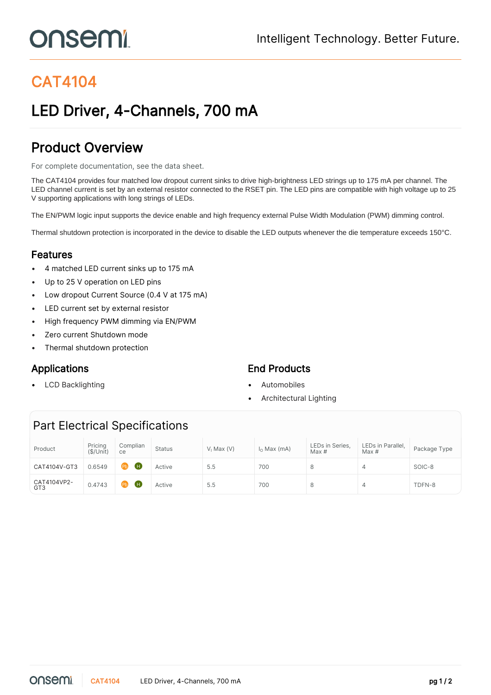# onsemi

## CAT4104

### LED Driver, 4-Channels, 700 mA

### Product Overview

For complete documentation, see the [data sheet.](https://www.onsemi.com/PowerSolutions/product.do?id=CAT4104)

The CAT4104 provides four matched low dropout current sinks to drive high-brightness LED strings up to 175 mA per channel. The LED channel current is set by an external resistor connected to the RSET pin. The LED pins are compatible with high voltage up to 25 V supporting applications with long strings of LEDs.

The EN/PWM logic input supports the device enable and high frequency external Pulse Width Modulation (PWM) dimming control.

Thermal shutdown protection is incorporated in the device to disable the LED outputs whenever the die temperature exceeds 150°C.

#### Features

- 4 matched LED current sinks up to 175 mA
- Up to 25 V operation on LED pins
- Low dropout Current Source (0.4 V at 175 mA)
- LED current set by external resistor
- High frequency PWM dimming via EN/PWM
- Zero current Shutdown mode
- Thermal shutdown protection

• LCD Backlighting • Automobiles

#### Applications **End Products**

- 
- Architectural Lighting

### Part Electrical Specifications

| Product                        | Pricing<br>(\$/Unit) | Complian<br>ce      | <b>Status</b> | $V1$ Max $(V)$ | $I_0$ Max (mA) | LEDs in Series,<br>Max# | LEDs in Parallel,<br>Max# | Package Type |
|--------------------------------|----------------------|---------------------|---------------|----------------|----------------|-------------------------|---------------------------|--------------|
| CAT4104V-GT3                   | 0.6549               | (H)<br>$\mathbf{P}$ | Active        | 5.5            | 700            |                         | 4                         | SOIC-8       |
| CAT4104VP2-<br>GT <sub>3</sub> | 0.4743               | (H)<br>$\mathbf{P}$ | Active        | 5.5            | 700            |                         | 4                         | TDFN-8       |